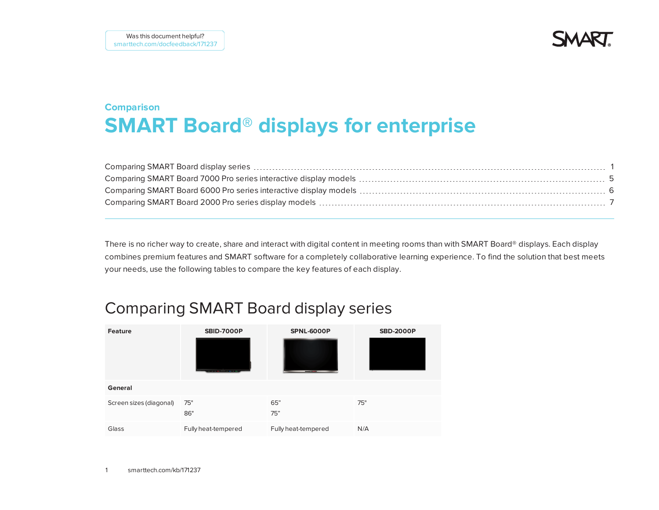**SMAR** 

# **Comparison SMART Board® displays for enterprise**

There is no richer way to create, share and interact with digital content in meeting rooms than with SMART Board® displays. Each display combines premium features and SMART software for a completely collaborative learning experience. To find the solution that best meets your needs, use the following tables to compare the key features of each display.

## <span id="page-0-0"></span>Comparing SMART Board display series

| <b>Feature</b>          | <b>SBID-7000P</b><br><b>Service Committee Committee</b> | <b>SPNL-6000P</b>   | <b>SBD-2000P</b> |
|-------------------------|---------------------------------------------------------|---------------------|------------------|
| General                 |                                                         |                     |                  |
| Screen sizes (diagonal) | 75"<br>86"                                              | 65"<br>75"          | 75"              |
| Glass                   | Fully heat-tempered                                     | Fully heat-tempered | N/A              |

1 [smarttech.com/kb/171237](http://www.smarttech.com/kb/171237)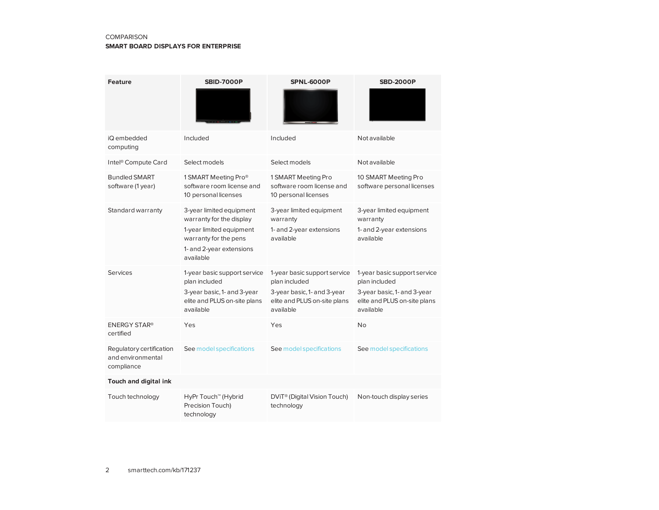### COMPARISON

#### **SMART BOARD DISPLAYS FOR ENTERPRISE**

| <b>Feature</b>                                              | <b>SBID-7000P</b>                                                                                                                                  | <b>SPNL-6000P</b>                                                                                                         | <b>SBD-2000P</b>                                                                                                          |
|-------------------------------------------------------------|----------------------------------------------------------------------------------------------------------------------------------------------------|---------------------------------------------------------------------------------------------------------------------------|---------------------------------------------------------------------------------------------------------------------------|
| iQ embedded<br>computing                                    | Included                                                                                                                                           | Included                                                                                                                  | Not available                                                                                                             |
| Intel <sup>®</sup> Compute Card                             | Select models                                                                                                                                      | Select models                                                                                                             | Not available                                                                                                             |
| <b>Bundled SMART</b><br>software (1 year)                   | 1 SMART Meeting Pro®<br>software room license and<br>10 personal licenses                                                                          | 1 SMART Meeting Pro<br>software room license and<br>10 personal licenses                                                  | 10 SMART Meeting Pro<br>software personal licenses                                                                        |
| Standard warranty                                           | 3-year limited equipment<br>warranty for the display<br>1-year limited equipment<br>warranty for the pens<br>1- and 2-year extensions<br>available | 3-year limited equipment<br>warranty<br>1- and 2-year extensions<br>available                                             | 3-year limited equipment<br>warranty<br>1- and 2-year extensions<br>available                                             |
| Services                                                    | 1-year basic support service<br>plan included<br>3-year basic, 1- and 3-year<br>elite and PLUS on-site plans<br>available                          | 1-year basic support service<br>plan included<br>3-year basic, 1- and 3-year<br>elite and PLUS on-site plans<br>available | 1-year basic support service<br>plan included<br>3-year basic, 1- and 3-year<br>elite and PLUS on-site plans<br>available |
| <b>ENERGY STAR®</b><br>certified                            | Yes                                                                                                                                                | Yes                                                                                                                       | <b>No</b>                                                                                                                 |
| Regulatory certification<br>and environmental<br>compliance | See model specifications                                                                                                                           | See model specifications                                                                                                  | See model specifications                                                                                                  |
| Touch and digital ink                                       |                                                                                                                                                    |                                                                                                                           |                                                                                                                           |
| Touch technology                                            | HyPr Touch <sup>™</sup> (Hybrid<br>Precision Touch)<br>technology                                                                                  | DViT <sup>®</sup> (Digital Vision Touch)<br>technology                                                                    | Non-touch display series                                                                                                  |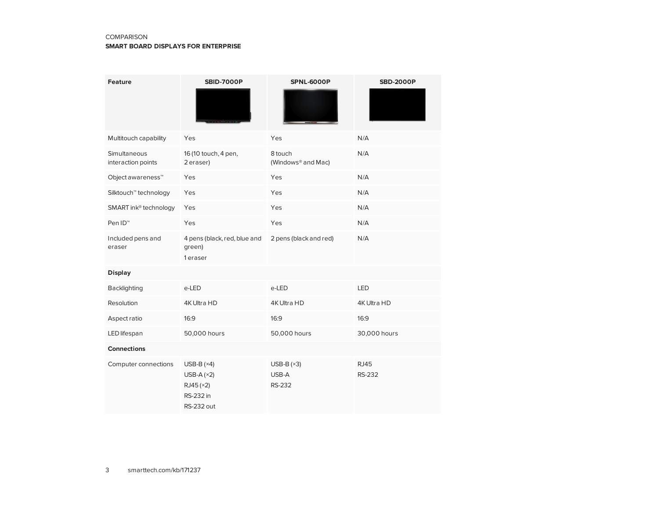### COMPARISON

#### **SMART BOARD DISPLAYS FOR ENTERPRISE**

| <b>Feature</b>                     | <b>SBID-7000P</b>                                                           | <b>SPNL-6000P</b>                         | <b>SBD-2000P</b>             |
|------------------------------------|-----------------------------------------------------------------------------|-------------------------------------------|------------------------------|
| Multitouch capability              | Yes                                                                         | Yes                                       | N/A                          |
| Simultaneous<br>interaction points | 16 (10 touch, 4 pen,<br>2 eraser)                                           | 8 touch<br>(Windows <sup>®</sup> and Mac) | N/A                          |
| Object awareness <sup>™</sup>      | Yes                                                                         | Yes                                       | N/A                          |
| Silktouch <sup>™</sup> technology  | Yes                                                                         | Yes                                       | N/A                          |
| SMART ink® technology              | Yes                                                                         | Yes                                       | N/A                          |
| Pen ID <sup>™</sup>                | Yes                                                                         | Yes                                       | N/A                          |
| Included pens and<br>eraser        | 4 pens (black, red, blue and<br>green)<br>1 eraser                          | 2 pens (black and red)                    | N/A                          |
| <b>Display</b>                     |                                                                             |                                           |                              |
| Backlighting                       | e-LED                                                                       | e-LED                                     | LED                          |
| Resolution                         | 4K Ultra HD                                                                 | 4K Ultra HD                               | 4K Ultra HD                  |
| Aspect ratio                       | 16:9                                                                        | 16:9                                      | 16:9                         |
| LED lifespan                       | 50,000 hours                                                                | 50,000 hours                              | 30,000 hours                 |
| <b>Connections</b>                 |                                                                             |                                           |                              |
| Computer connections               | USB-B $(x4)$<br>USB-A $(x2)$<br>RJ45 (×2)<br>RS-232 in<br><b>RS-232 out</b> | USB-B $(x3)$<br>USB-A<br><b>RS-232</b>    | <b>RJ45</b><br><b>RS-232</b> |

3 [smarttech.com/kb/171237](http://www.smarttech.com/kb/171237)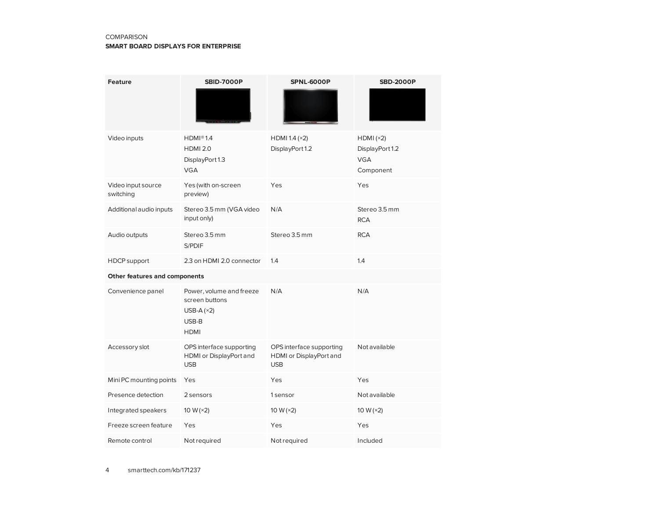### COMPARISON

#### **SMART BOARD DISPLAYS FOR ENTERPRISE**

| <b>Feature</b>                  | <b>SBID-7000P</b>                                                                  | <b>SPNL-6000P</b>                                                 | <b>SBD-2000P</b>                                       |
|---------------------------------|------------------------------------------------------------------------------------|-------------------------------------------------------------------|--------------------------------------------------------|
| Video inputs                    | HDMI@1.4<br><b>HDMI 2.0</b><br>DisplayPort 1.3<br><b>VGA</b>                       | HDMI 1.4 $(x2)$<br>DisplayPort 1.2                                | HDMI(x2)<br>DisplayPort 1.2<br><b>VGA</b><br>Component |
| Video input source<br>switching | Yes (with on-screen<br>preview)                                                    | Yes                                                               | Yes                                                    |
| Additional audio inputs         | Stereo 3.5 mm (VGA video<br>input only)                                            | N/A                                                               | Stereo 3.5 mm<br><b>RCA</b>                            |
| Audio outputs                   | Stereo 3.5 mm<br>S/PDIF                                                            | Stereo 3.5 mm                                                     | <b>RCA</b>                                             |
| <b>HDCP</b> support             | 2.3 on HDMI 2.0 connector                                                          | 1.4                                                               | 1.4                                                    |
| Other features and components   |                                                                                    |                                                                   |                                                        |
| Convenience panel               | Power, volume and freeze<br>screen buttons<br>USB-A $(x2)$<br>USB-B<br><b>HDMI</b> | N/A                                                               | N/A                                                    |
| Accessory slot                  | OPS interface supporting<br>HDMI or DisplayPort and<br><b>USB</b>                  | OPS interface supporting<br>HDMI or DisplayPort and<br><b>USB</b> | Not available                                          |
| Mini PC mounting points         | Yes                                                                                | Yes                                                               | Yes                                                    |
| Presence detection              | 2 sensors                                                                          | 1 sensor                                                          | Not available                                          |
| Integrated speakers             | 10 W $(x2)$                                                                        | 10 W $(x2)$                                                       | 10 W $(x2)$                                            |
| Freeze screen feature           | Yes                                                                                | Yes                                                               | Yes                                                    |
| Remote control                  | Not required                                                                       | Not required                                                      | Included                                               |

4 [smarttech.com/kb/171237](http://www.smarttech.com/kb/171237)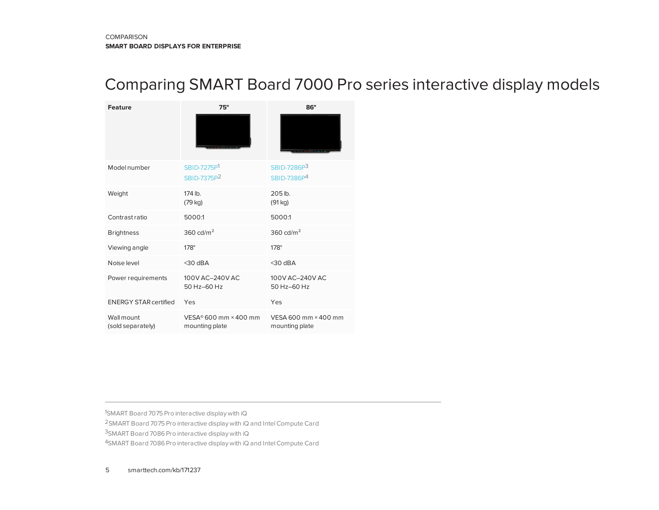## <span id="page-4-0"></span>Comparing SMART Board 7000 Pro series interactive display models

| <b>Feature</b>                  | 75"                                                   | 86"                                    |
|---------------------------------|-------------------------------------------------------|----------------------------------------|
|                                 |                                                       |                                        |
| Model number                    | SBID-7275P1<br>SBID-7375P <sup>2</sup>                | SBID-7286P3<br>SBID-7386P <sup>4</sup> |
| Weight                          | 174 lb.<br>(79 kg)                                    | $205$ lb.<br>(91 kg)                   |
| Contrast ratio                  | 5000:1                                                | 5000:1                                 |
| <b>Brightness</b>               | 360 cd/ $m2$                                          | 360 cd/ $m2$                           |
| Viewing angle                   | $178^\circ$                                           | $178^\circ$                            |
| Noise level                     | $<$ 30 dBA                                            | $<$ 30 dBA                             |
| Power requirements              | 100V AC-240V AC<br>50 Hz-60 Hz                        | 100V AC-240V AC<br>50 Hz-60 Hz         |
| <b>ENERGY STAR certified</b>    | Yes                                                   | Yes                                    |
| Wall mount<br>(sold separately) | $VESA$ <sup>®</sup> 600 mm × 400 mm<br>mounting plate | VESA 600 mm × 400 mm<br>mounting plate |

1SMART Board 7075 Pro interactive display with iQ 2SMART Board 7075 Pro interactive display with iQ and IntelCompute Card

3SMART Board 7086 Pro interactive display with iQ

4SMART Board 7086 Pro interactive display with iQ and Intel Compute Card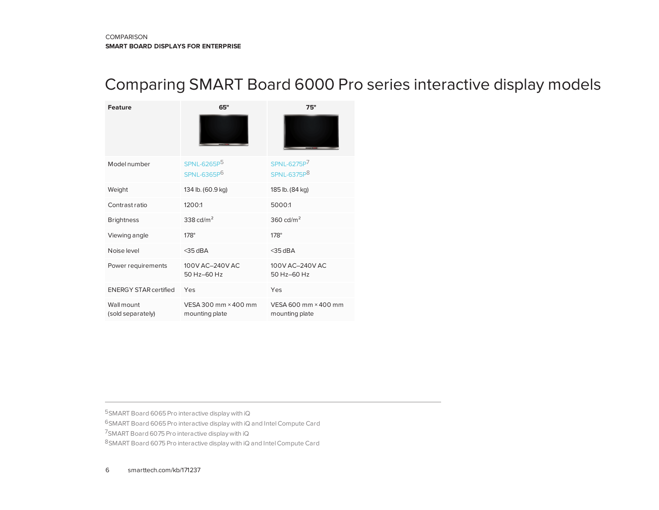## <span id="page-5-0"></span>Comparing SMART Board 6000 Pro series interactive display models

| <b>Feature</b>                  | 65"                                                | 75"                                    |
|---------------------------------|----------------------------------------------------|----------------------------------------|
|                                 |                                                    |                                        |
| Model number                    | SPNL-6265P <sup>5</sup><br>SPNL-6365P <sup>6</sup> | SPNL-6275P7<br>SPNL-6375P <sup>8</sup> |
| Weight                          | 134 lb. (60.9 kg)                                  | 185 lb. (84 kg)                        |
| Contrast ratio                  | 1200:1                                             | 5000:1                                 |
| <b>Brightness</b>               | 338 cd/ $m2$                                       | 360 cd/ $m2$                           |
| Viewing angle                   | $178^\circ$                                        | $178^\circ$                            |
| Noise level                     | $<$ 35 dBA                                         | $<$ 35 dBA                             |
| Power requirements              | 100V AC-240V AC<br>50 Hz-60 Hz                     | 100V AC-240V AC<br>50 Hz-60 Hz         |
| <b>ENERGY STAR certified</b>    | Yes                                                | Yes                                    |
| Wall mount<br>(sold separately) | VESA 300 mm × 400 mm<br>mounting plate             | VESA 600 mm × 400 mm<br>mounting plate |

5SMART Board 6065 Pro interactive display with iQ

6SMART Board 6065 Pro interactive display with iQ and IntelCompute Card

7SMART Board 6075 Pro interactive display with iQ

8SMART Board 6075 Pro interactive display with iQ and Intel Compute Card